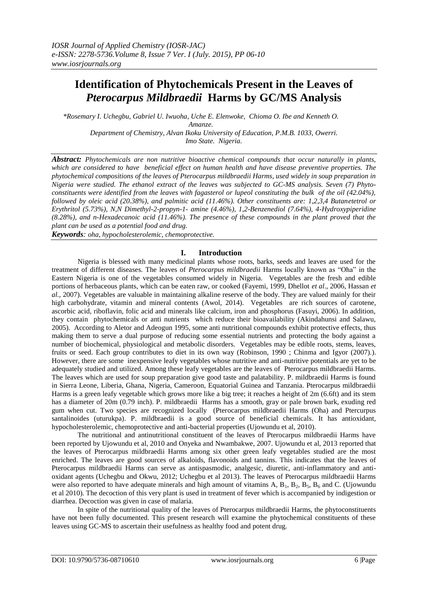# **Identification of Phytochemicals Present in the Leaves of** *Pterocarpus Mildbraedii* **Harms by GC/MS Analysis**

*\*Rosemary I. Uchegbu, Gabriel U. Iwuoha, Uche E. Elenwoke, Chioma O. Ibe and Kenneth O. Amanze. Department of Chemistry, Alvan Ikoku University of Education, P.M.B. 1033, Owerri. Imo State. Nigeria.*

*Abstract: Phytochemicals are non nutritive bioactive chemical compounds that occur naturally in plants, which are considered to have beneficial effect on human health and have disease preventive properties. The phytochemical compositions of the leaves of Pterocarpus mildbraedii Harms, used widely in soup preparation in Nigeria were studied. The ethanol extract of the leaves was subjected to GC-MS analysis. Seven (7) Phytoconstituents were identified from the leaves with fagasterol or lupeol constituting the bulk of the oil (42.04%), followed by oleic acid (20.38%), and palmitic acid (11.46%). Other constituents are: 1,2,3,4 Butanetetrol or Erythritol (5.73%), N,N Dimethyl-2-propyn-1- amine (4.46%), 1,2-Benzenediol (7.64%), 4-Hydroxypiperidine (8.28%), and n-Hexadecanoic acid (11.46%). The presence of these compounds in the plant proved that the plant can be used as a potential food and drug.*

*Keywords: oha, hypocholesterolemic, chemoprotective.*

## **I. Introduction**

Nigeria is blessed with many medicinal plants whose roots, barks, seeds and leaves are used for the treatment of different diseases. The leaves of *Pterocarpus mildbraedii* Harms locally known as "Oha" in the Eastern Nigeria is one of the vegetables consumed widely in Nigeria. Vegetables are the fresh and edible portions of herbaceous plants, which can be eaten raw, or cooked (Fayemi, 1999, Dhellot *et al*., 2006, Hassan *et al.,* 2007). Vegetables are valuable in maintaining alkaline reserve of the body. They are valued mainly for their high carbohydrate, vitamin and mineral contents (Awol, 2014). Vegetables are rich sources of carotene, ascorbic acid, riboflavin, folic acid and minerals like calcium, iron and phosphorus (Fasuyi, 2006). In addition, they contain phytochemicals or anti nutrients which reduce their bioavailability (Akindahunsi and Salawu, 2005). According to Aletor and Adeogun 1995, some anti nutritional compounds exhibit protective effects, thus making them to serve a dual purpose of reducing some essential nutrients and protecting the body against a number of biochemical, physiological and metabolic disorders. Vegetables may be edible roots, stems, leaves, fruits or seed. Each group contributes to diet in its own way (Robinson, 1990 ; Chinma and Igyor (2007).). However, there are some inexpensive leafy vegetables whose nutritive and anti-nutritive potentials are yet to be adequately studied and utilized. Among these leafy vegetables are the leaves of Pterocarpus mildbraedii Harms. The leaves which are used for soup preparation give good taste and palatability. P. mildbraedii Harms is found in Sierra Leone, Liberia, Ghana, Nigeria, Cameroon, Equatorial Guinea and Tanzania. Pterocarpus mildbraedii Harms is a green leafy vegetable which grows more like a big tree; it reaches a height of 2m (6.6ft) and its stem has a diameter of 20m (0.79 inch). P. mildbraedii Harms has a smooth, gray or pale brown bark, exuding red gum when cut. Two species are recognized locally (Pterocarpus mildbraedii Harms (Oha) and Ptercurpus santalinoides (uturukpa). P. mildbraedii is a good source of beneficial chemicals. It has antioxidant, hypocholesterolemic, chemoprotective and anti-bacterial properties (Ujowundu et al, 2010).

The nutritional and antinutritional constituent of the leaves of Pterocarpus mildbraedii Harms have been reported by Ujowundu et al, 2010 and Onyeka and Nwambakwe, 2007. Ujowundu et al, 2013 reported that the leaves of Pterocarpus mildbraedii Harms among six other green leafy vegetables studied are the most enriched. The leaves are good sources of alkaloids, flavonoids and tannins. This indicates that the leaves of Pterocarpus mildbraedii Harms can serve as antispasmodic, analgesic, diuretic, anti-inflammatory and antioxidant agents (Uchegbu and Okwu, 2012; Uchegbu et al 2013). The leaves of Pterocarpus mildbraedii Harms were also reported to have adequate minerals and high amount of vitamins A,  $B_1$ ,  $B_2$ ,  $B_5$ ,  $B_6$  and C. (Ujowundu et al 2010). The decoction of this very plant is used in treatment of fever which is accompanied by indigestion or diarrhea. Decoction was given in case of malaria.

In spite of the nutritional quality of the leaves of Pterocarpus mildbraedii Harms, the phytoconstituents have not been fully documented. This present research will examine the phytochemical constituents of these leaves using GC-MS to ascertain their usefulness as healthy food and potent drug.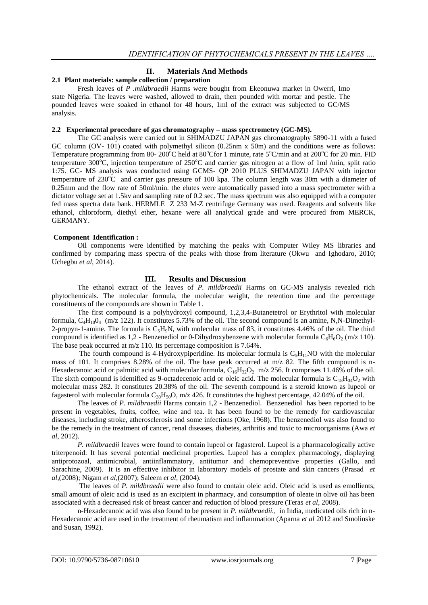## **II. Materials And Methods**

#### **2.1 Plant materials: sample collection / preparation**

Fresh leaves of *P .mildbraedii* Harms were bought from Ekeonuwa market in Owerri, Imo state Nigeria. The leaves were washed, allowed to drain, then pounded with mortar and pestle. The pounded leaves were soaked in ethanol for 48 hours, 1ml of the extract was subjected to GC/MS analysis.

#### **2.2 Experimental procedure of gas chromatography – mass spectrometry (GC-MS).**

The GC analysis were carried out in SHIMADZU JAPAN gas chromatography 5890-11 with a fused GC column (OV- 101) coated with polymethyl silicon (0.25nm x 50m) and the conditions were as follows: Temperature programming from 80-  $200^{\circ}$ C held at 80 $^{\circ}$ Cfor 1 minute, rate 5 $^{\circ}$ C/min and at 200 $^{\circ}$ C for 20 min. FID temperature  $300^{\circ}$ C, injection temperature of 250 $^{\circ}$ C and carrier gas nitrogen at a flow of 1ml /min, split ratio 1:75. GC- MS analysis was conducted using GCMS- QP 2010 PLUS SHIMADZU JAPAN with injector temperature of  $230^{\circ}$ C and carrier gas pressure of 100 kpa. The column length was 30m with a diameter of 0.25mm and the flow rate of 50ml/min. the elutes were automatically passed into a mass spectrometer with a dictator voltage set at 1.5kv and sampling rate of 0.2 sec. The mass spectrum was also equipped with a computer fed mass spectra data bank. HERMLE Z 233 M-Z centrifuge Germany was used. Reagents and solvents like ethanol, chloroform, diethyl ether, hexane were all analytical grade and were procured from MERCK, GERMANY.

## **Component Identification :**

Oil components were identified by matching the peaks with Computer Wiley MS libraries and confirmed by comparing mass spectra of the peaks with those from literature (Okwu and Ighodaro, 2010; Uchegbu *et al*, 2014).

# **III. Results and Discussion**

The ethanol extract of the leaves of *P. mildbraedii* Harms on GC-MS analysis revealed rich phytochemicals. The molecular formula, the molecular weight, the retention time and the percentage constituents of the compounds are shown in Table 1.

The first compound is a polyhydroxyl compound, 1,2,3,4-Butanetetrol or Erythritol with molecular formula,  $C_4H_{10}0_4$  (m/z 122). It constitutes 5.73% of the oil. The second compound is an amine, N,N-Dimethyl-2-propyn-1-amine. The formula is  $C_5H_9N$ , with molecular mass of 83, it constitutes 4.46% of the oil. The third compound is identified as 1,2 - Benzenediol or 0-Dihydroxybenzene with molecular formula  $C_6H_6O_2$  (m/z 110). The base peak occurred at m/z 110. Its percentage composition is 7.64%.

The fourth compound is 4-Hydroxypiperidine. Its molecular formula is  $C_5H_{11}NO$  with the molecular mass of 101. It comprises 8.28% of the oil. The base peak occurred at m/z 82. The fifth compound is n-Hexadecanoic acid or palmitic acid with molecular formula,  $C_{16}H_{32}O_2$  m/z 256. It comprises 11.46% of the oil. The sixth compound is identified as 9-octadecenoic acid or oleic acid. The molecular formula is  $C_{18}H_{34}O_2$  with molecular mass 282. It constitutes 20.38% of the oil. The seventh compound is a steroid known as lupeol or fagasterol with molecular formula  $C_{30}H_{50}O$ , m/z 426. It constitutes the highest percentage, 42.04% of the oil.

The leaves of *P. mildbraedii* Harms contain 1,2 - Benzenediol. Benzenediol has been reported to be present in vegetables, fruits, coffee, wine and tea. It has been found to be the remedy for cardiovascular diseases, including stroke, atherosclerosis and some infections (Oke, 1968). The benzenediol was also found to be the remedy in the treatment of cancer, renal diseases, diabetes, arthritis and toxic to microorganisms (Awa *et al*, 2012).

*P. mildbraedii* leaves were found to contain lupeol or fagasterol. Lupeol is a pharmacologically active [triterpenoid.](https://en.wikipedia.org/wiki/Triterpenoid) It has several potential medicinal properties. Lupeol has a complex pharmacology, displaying [antiprotozoal,](https://en.wikipedia.org/wiki/Antiprotozoal) antimicrobial, antiinflammatory, antitumor and [chemopreventive](https://en.wikipedia.org/wiki/Chemopreventive) properties (Gallo, and Sarachine, 2009). It is an effective inhibitor in laboratory models of [prostate](https://en.wikipedia.org/wiki/Prostate) and [skin cancers](https://en.wikipedia.org/wiki/Skin_cancer) (Prasad *et al*,(2008); Nigam *et al*,(2007); Saleem *et al*, (2004).

The leaves of *P. mildbraedii* were also found to contain oleic acid. Oleic acid is used as emollients, small amount of oleic acid is used as an excipient in pharmacy, and consumption of oleate in olive oil has been associated with a decreased risk of breast cancer and reduction of blood pressure (Teras *et al*, 2008).

n-Hexadecanoic acid was also found to be present in *P. mildbraedii.,* in India, medicated oils rich in n-Hexadecanoic acid are used in the treatment of rheumatism and inflammation (Aparna *et al* 2012 and Smolinske and Susan, 1992).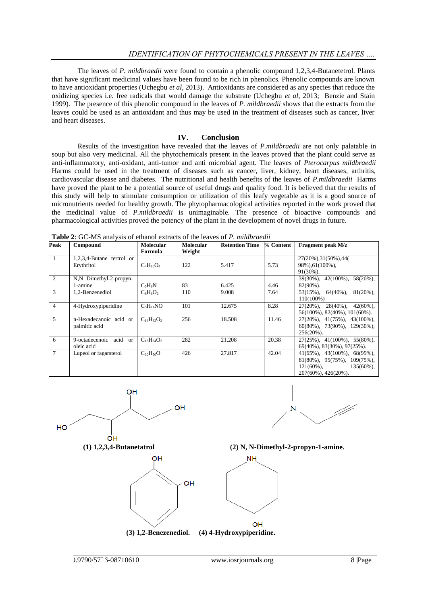The leaves of *P. mildbraedii* were found to contain a phenolic compound 1,2,3,4-Butanetetrol. Plants that have significant medicinal values have been found to be rich in phenolics. Phenolic compounds are known to have antioxidant properties (Uchegbu *et al,* 2013). Antioxidants are considered as any species that reduce the oxidizing species i.e. free radicals that would damage the substrate (Uchegbu *et al*, 2013; Benzie and Stain 1999). The presence of this phenolic compound in the leaves of *P. mildbraedii* shows that the extracts from the leaves could be used as an antioxidant and thus may be used in the treatment of diseases such as cancer, liver and heart diseases.

#### **IV. Conclusion**

Results of the investigation have revealed that the leaves of *P.mildbraedii* are not only palatable in soup but also very medicinal. All the phytochemicals present in the leaves proved that the plant could serve as anti-inflammatory, anti-oxidant, anti-tumor and anti microbial agent. The leaves of *Pterocarpus mildbraedii* Harms could be used in the treatment of diseases such as cancer, liver, kidney, heart diseases, arthritis, cardiovascular disease and diabetes. The nutritional and health benefits of the leaves of *P.mildbraedii* Harms have proved the plant to be a potential source of useful drugs and quality food. It is believed that the results of this study will help to stimulate consumption or utilization of this leafy vegetable as it is a good source of micronutrients needed for healthy growth. The phytopharmacological activities reported in the work proved that the medicinal value of *P.mildbraedii* is unimaginable. The presence of bioactive compounds and pharmacological activities proved the potency of the plant in the development of novel drugs in future.

| Peak           | Compound                                | Molecular<br>Formula | <b>Molecular</b><br>Weight | <b>Retention Time</b> | % Content | <b>Fragment peak M/z</b>                                                                                                                            |
|----------------|-----------------------------------------|----------------------|----------------------------|-----------------------|-----------|-----------------------------------------------------------------------------------------------------------------------------------------------------|
| 1              | 1,2,3,4-Butane tertrol or<br>Erythritol | $C_4H_{10}O_4$       | 122                        | 5.417                 | 5.73      | 27(20%), 31(50%), 44(<br>98%), 61(100%),<br>$91(30\%)$ .                                                                                            |
| $\overline{2}$ | N,N Dimethyl-2-propyn-<br>1-amine       | $C_5H_9N$            | 83                         | 6.425                 | 4.46      | $39(30\%)$ , $42(100\%)$ ,<br>$58(20\%)$ ,<br>$82(90\%)$ .                                                                                          |
| 3              | 1,2-Benzenediol                         | $C_6H_6O_2$          | 110                        | 9.008                 | 7.64      | $81(20\%)$ ,<br>$53(15\%)$ , $64(40\%)$ ,<br>$110(100\%)$                                                                                           |
| $\overline{4}$ | 4-Hydroxypiperidine                     | $C_5H_{11}NO$        | 101                        | 12.675                | 8.28      | $27(20\%)$ , $28(40\%)$ , $42(60\%)$ ,<br>$56(100\%)$ , $82(40\%)$ , $101(60\%)$ .                                                                  |
| 5              | n-Hexadecanoic acid or<br>palmitic acid | $C_{16}H_{32}O_2$    | 256                        | 18.508                | 11.46     | $27(20\%)$ , $41(75\%)$ , $43(100\%)$ ,<br>$60(80\%)$ , 73(90%), 129(30%),<br>$256(20\%)$ .                                                         |
| 6              | 9-octadecenoic acid or<br>oleic acid    | $C_{18}H_{34}O_2$    | 282                        | 21.208                | 20.38     | $27(25\%)$ , $41(100\%)$ , $55(80\%)$ ,<br>$69(40\%)$ , $83(30\%)$ , $97(25\%)$ .                                                                   |
| $\overline{7}$ | Lupeol or fagarsterol                   | $C_{30}H_{50}O$      | 426                        | 27.817                | 42.04     | $41(65\%)$ , $43(100\%)$ , $68(99\%)$ ,<br>$81(80\%)$ , $95(75\%)$ , $109(75\%)$ ,<br>$121(60\%)$ ,<br>$135(60\%)$ ,<br>$207(60\%)$ , $426(20\%)$ . |

**Table 2**: GC-MS analysis of ethanol extracts of the leaves of *P. mildbraedii* 







**(1) 1,2,3,4-Butanetatrol (2) N, N-Dimethyl-2-propyn-1-amine.**



**(3) 1,2-Benezenediol. (4) 4-Hydroxypiperidine.**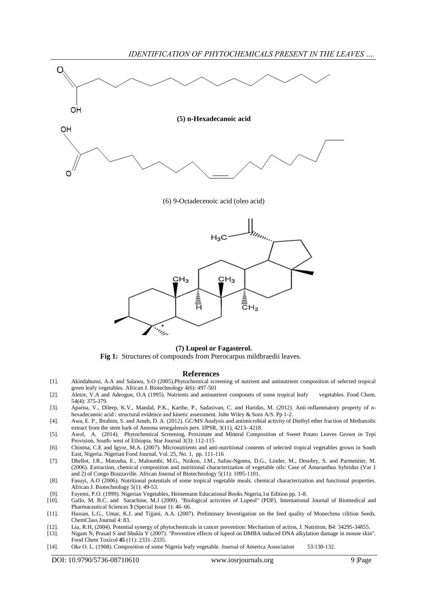

#### **(7) Lupeol or Fagasterol.**

Fig 1: Structures of compounds from Pterocarpus mildbraedii leaves.

#### **References**

- [1]. Akindahunsi, A.A and Salawu, S.O (2005).Phytochemical screening of nutrient and antinutrient composition of selected tropical green leafy vegetables. African J. Biotechnology 4(6): 497-501
- [2]. Aletor, V.A and Adeogun, O.A (1995). Nutrients and antinutrient componets of some tropical leafy vegetables. Food Chem. 54(4): 375-379.
- [3]. Aparna, V., Dileep, K.V., Mandal, P.K., Karthe, P., Sadasivan, C. and Haridas, M. (2012). Anti-inflammatory property of nhexadecanoic acid : structural evidence and kinetic assessment. John Wiley & Sons A/S. Pp 1-2.
- [4]. Awa, E. P., Ibrahim, S. and Ameh, D. A. (2012). GC/MS Analysis and antimicrobial activity of Diethyl ether fraction of Methanolic extract from the stem bark of Annona senegalensis pers. IJPSR, 3(11), 4213- 4218.
- [5]. Awol, A. (2014). Phytochemical Screening, Proximate and Mineral Composition of Sweet Potato Leaves Grown in Tepi Provision, South- west of Ethiopia. Star Journal 3(3): 112-115
- [6]. Chinma, C.E and Igyor, M.A. (2007). Micronutrients and anti-nutritional contents of selected tropical vegetables grown in South East, Nigeria. Nigerian Food Journal, Vol. 25, No. 1, pp. 111-116
- [7]. Dhellot, J.R., Matouba, E., Maloumbi, M.G., Nzikou, J.M., Safou-Ngoma, D.G., Linder, M., Desobry, S. and Parmentier, M. (2006). Extraction, chemical composition and nutritional characterization of vegetable oils: Case of Amaranthus hybridus (Var 1 and 2) of Congo Brazzaville. African Journal of Biotechnology 5(11): 1095-1101.
- [8]. Fasuyi, A.O (2006). Nutritional potentials of some tropical vegetable meals. chemical characterization and functional properties. African J. Biotechnology 5(1): 49-53.
- [9]. Fayemi, P.O. (1999). Nigerian Vegetables, Heinemann Educational Books Nigeria,1st Edition pp. 1-8.
- [10]. Gallo, M. B.C. and Sarachine, M.J (2009). ["Biological activities of Lupeol"](http://www.globalsciencebooks.info/JournalsSup/images/0906/IJBPS_3%28SI1%2946-66o.pdf) (PDF). International Journal of Biomedical and Pharmaceutical Sciences **3** (Special Issue 1): 46–66.
- [11]. Hassan, L.G., Umar, K.J. and Tijjani, A.A. (2007). Preliminary Investigation on the feed quality of Monechma cilition Seeds. ChemClass Journal 4: 83.
- [12]. Liu, R.H, (2004). Potential synergy of phytochemicals in cancer prevention: Mechanism of action, J. Nutrition, B4: 34295-34855.
- [13]. Nigam N, Prasad S and Shukla Y (2007). "Preventive effects of lupeol on DMBA induced DNA alkylation damage in mouse skin". Food Chem Toxicol **45** (11): 2331–2335.
- [14]. Oke O. L. (1968). Composition of some Nigeria leafy vegetable. Journal of America Association 53:130-132.